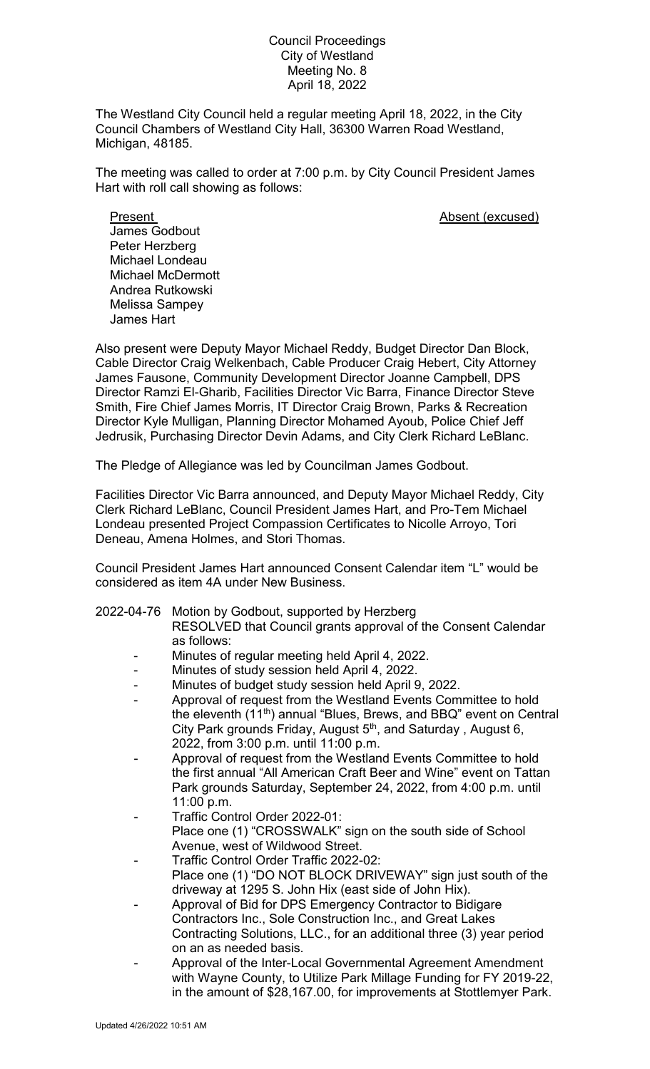## Council Proceedings City of Westland Meeting No. 8 April 18, 2022

The Westland City Council held a regular meeting April 18, 2022, in the City Council Chambers of Westland City Hall, 36300 Warren Road Westland, Michigan, 48185.

The meeting was called to order at 7:00 p.m. by City Council President James Hart with roll call showing as follows:

Present **Absent** (excused) James Godbout Peter Herzberg Michael Londeau Michael McDermott Andrea Rutkowski Melissa Sampey James Hart

Also present were Deputy Mayor Michael Reddy, Budget Director Dan Block, Cable Director Craig Welkenbach, Cable Producer Craig Hebert, City Attorney James Fausone, Community Development Director Joanne Campbell, DPS Director Ramzi El-Gharib, Facilities Director Vic Barra, Finance Director Steve Smith, Fire Chief James Morris, IT Director Craig Brown, Parks & Recreation Director Kyle Mulligan, Planning Director Mohamed Ayoub, Police Chief Jeff Jedrusik, Purchasing Director Devin Adams, and City Clerk Richard LeBlanc.

The Pledge of Allegiance was led by Councilman James Godbout.

Facilities Director Vic Barra announced, and Deputy Mayor Michael Reddy, City Clerk Richard LeBlanc, Council President James Hart, and Pro-Tem Michael Londeau presented Project Compassion Certificates to Nicolle Arroyo, Tori Deneau, Amena Holmes, and Stori Thomas.

Council President James Hart announced Consent Calendar item "L" would be considered as item 4A under New Business.

- 2022-04-76 Motion by Godbout, supported by Herzberg RESOLVED that Council grants approval of the Consent Calendar as follows:
	- Minutes of regular meeting held April 4, 2022.
	- Minutes of study session held April 4, 2022.
	- Minutes of budget study session held April 9, 2022.
	- Approval of request from the Westland Events Committee to hold the eleventh (11<sup>th</sup>) annual "Blues, Brews, and BBQ" event on Central City Park grounds Friday, August 5<sup>th</sup>, and Saturday, August 6, 2022, from 3:00 p.m. until 11:00 p.m.
	- Approval of request from the Westland Events Committee to hold the first annual "All American Craft Beer and Wine" event on Tattan Park grounds Saturday, September 24, 2022, from 4:00 p.m. until 11:00 p.m.
	- Traffic Control Order 2022-01: Place one (1) "CROSSWALK" sign on the south side of School Avenue, west of Wildwood Street.
	- Traffic Control Order Traffic 2022-02: Place one (1) "DO NOT BLOCK DRIVEWAY" sign just south of the driveway at 1295 S. John Hix (east side of John Hix).
	- Approval of Bid for DPS Emergency Contractor to Bidigare Contractors Inc., Sole Construction Inc., and Great Lakes Contracting Solutions, LLC., for an additional three (3) year period on an as needed basis.
	- Approval of the Inter-Local Governmental Agreement Amendment with Wayne County, to Utilize Park Millage Funding for FY 2019-22, in the amount of \$28,167.00, for improvements at Stottlemyer Park.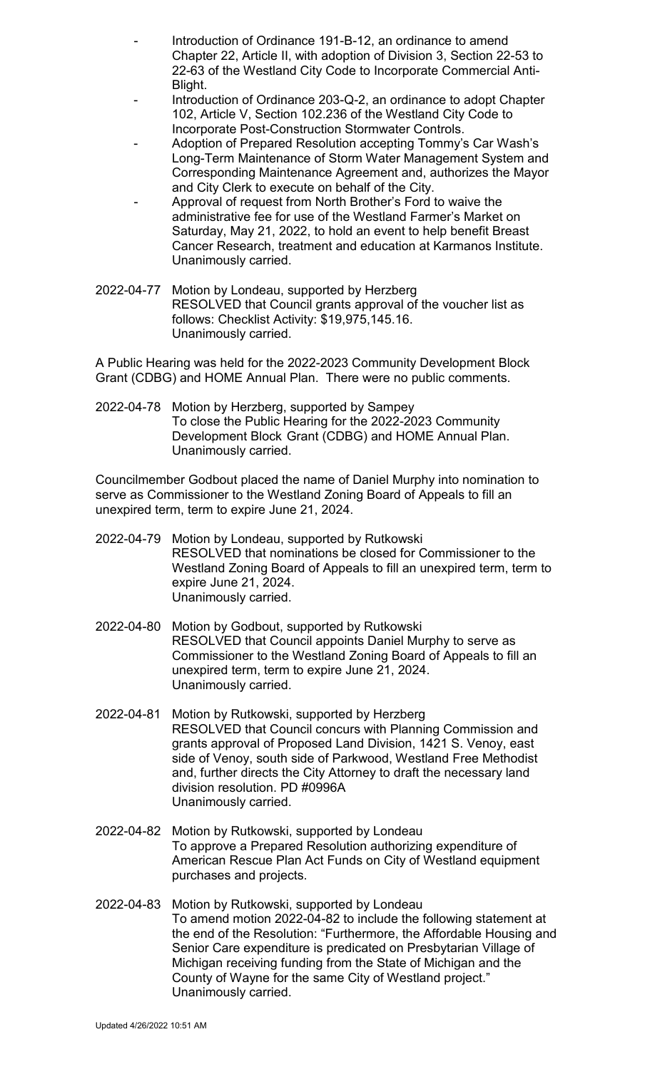- Introduction of Ordinance 191-B-12, an ordinance to amend Chapter 22, Article II, with adoption of Division 3, Section 22-53 to 22-63 of the Westland City Code to Incorporate Commercial Anti-Blight.
- Introduction of Ordinance 203-Q-2, an ordinance to adopt Chapter 102, Article V, Section 102.236 of the Westland City Code to Incorporate Post-Construction Stormwater Controls.
- Adoption of Prepared Resolution accepting Tommy's Car Wash's Long-Term Maintenance of Storm Water Management System and Corresponding Maintenance Agreement and, authorizes the Mayor and City Clerk to execute on behalf of the City.
- Approval of request from North Brother's Ford to waive the administrative fee for use of the Westland Farmer's Market on Saturday, May 21, 2022, to hold an event to help benefit Breast Cancer Research, treatment and education at Karmanos Institute. Unanimously carried.
- 2022-04-77 Motion by Londeau, supported by Herzberg RESOLVED that Council grants approval of the voucher list as follows: Checklist Activity: \$19,975,145.16. Unanimously carried.

A Public Hearing was held for the 2022-2023 Community Development Block Grant (CDBG) and HOME Annual Plan. There were no public comments.

2022-04-78 Motion by Herzberg, supported by Sampey To close the Public Hearing for the 2022-2023 Community Development Block Grant (CDBG) and HOME Annual Plan. Unanimously carried.

Councilmember Godbout placed the name of Daniel Murphy into nomination to serve as Commissioner to the Westland Zoning Board of Appeals to fill an unexpired term, term to expire June 21, 2024.

- 2022-04-79 Motion by Londeau, supported by Rutkowski RESOLVED that nominations be closed for Commissioner to the Westland Zoning Board of Appeals to fill an unexpired term, term to expire June 21, 2024. Unanimously carried.
- 2022-04-80 Motion by Godbout, supported by Rutkowski RESOLVED that Council appoints Daniel Murphy to serve as Commissioner to the Westland Zoning Board of Appeals to fill an unexpired term, term to expire June 21, 2024. Unanimously carried.
- 2022-04-81 Motion by Rutkowski, supported by Herzberg RESOLVED that Council concurs with Planning Commission and grants approval of Proposed Land Division, 1421 S. Venoy, east side of Venoy, south side of Parkwood, Westland Free Methodist and, further directs the City Attorney to draft the necessary land division resolution. PD #0996A Unanimously carried.
- 2022-04-82 Motion by Rutkowski, supported by Londeau To approve a Prepared Resolution authorizing expenditure of American Rescue Plan Act Funds on City of Westland equipment purchases and projects.
- 2022-04-83 Motion by Rutkowski, supported by Londeau To amend motion 2022-04-82 to include the following statement at the end of the Resolution: "Furthermore, the Affordable Housing and Senior Care expenditure is predicated on Presbytarian Village of Michigan receiving funding from the State of Michigan and the County of Wayne for the same City of Westland project." Unanimously carried.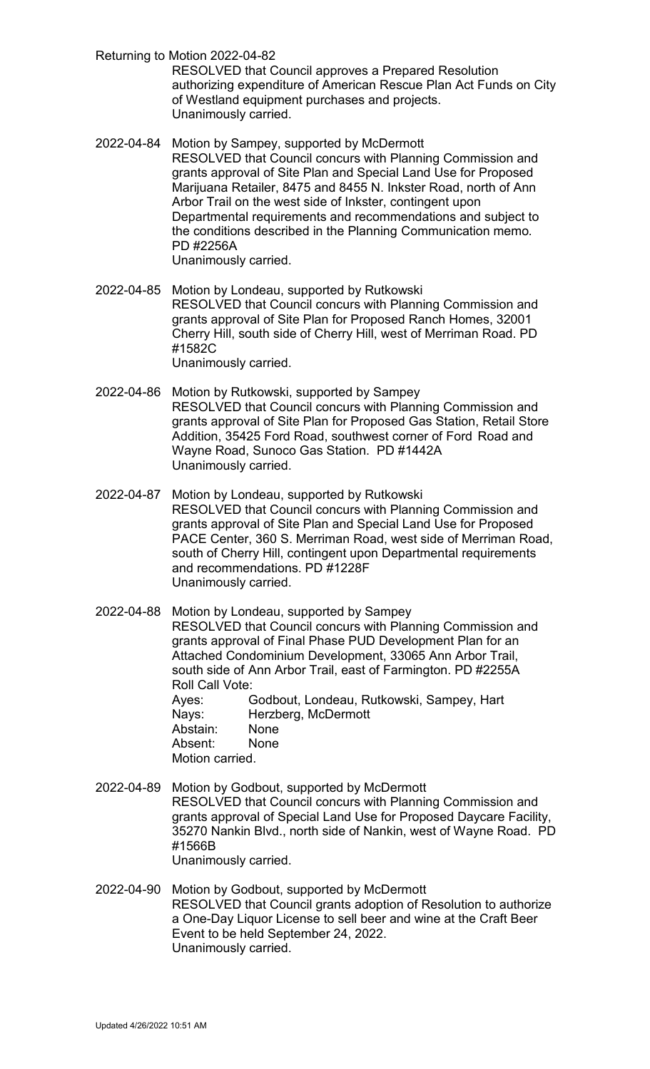Returning to Motion 2022-04-82

RESOLVED that Council approves a Prepared Resolution authorizing expenditure of American Rescue Plan Act Funds on City of Westland equipment purchases and projects. Unanimously carried.

- 2022-04-84 Motion by Sampey, supported by McDermott RESOLVED that Council concurs with Planning Commission and grants approval of Site Plan and Special Land Use for Proposed Marijuana Retailer, 8475 and 8455 N. Inkster Road, north of Ann Arbor Trail on the west side of Inkster, contingent upon Departmental requirements and recommendations and subject to the conditions described in the Planning Communication memo*.* PD #2256A Unanimously carried.
- 2022-04-85 Motion by Londeau, supported by Rutkowski RESOLVED that Council concurs with Planning Commission and grants approval of Site Plan for Proposed Ranch Homes, 32001 Cherry Hill, south side of Cherry Hill, west of Merriman Road. PD #1582C Unanimously carried.
- 2022-04-86 Motion by Rutkowski, supported by Sampey RESOLVED that Council concurs with Planning Commission and grants approval of Site Plan for Proposed Gas Station, Retail Store Addition, 35425 Ford Road, southwest corner of Ford Road and Wayne Road, Sunoco Gas Station. PD #1442A Unanimously carried.
- 2022-04-87 Motion by Londeau, supported by Rutkowski RESOLVED that Council concurs with Planning Commission and grants approval of Site Plan and Special Land Use for Proposed PACE Center, 360 S. Merriman Road, west side of Merriman Road, south of Cherry Hill, contingent upon Departmental requirements and recommendations. PD #1228F Unanimously carried.
- 2022-04-88 Motion by Londeau, supported by Sampey RESOLVED that Council concurs with Planning Commission and grants approval of Final Phase PUD Development Plan for an Attached Condominium Development, 33065 Ann Arbor Trail, south side of Ann Arbor Trail, east of Farmington. PD #2255A Roll Call Vote: Ayes: Godbout, Londeau, Rutkowski, Sampey, Hart Nays: Herzberg, McDermott<br>Abstain: None Abstain: Absent: None Motion carried.
- 2022-04-89 Motion by Godbout, supported by McDermott RESOLVED that Council concurs with Planning Commission and grants approval of Special Land Use for Proposed Daycare Facility, 35270 Nankin Blvd., north side of Nankin, west of Wayne Road. PD #1566B Unanimously carried.
- 2022-04-90 Motion by Godbout, supported by McDermott RESOLVED that Council grants adoption of Resolution to authorize a One-Day Liquor License to sell beer and wine at the Craft Beer Event to be held September 24, 2022. Unanimously carried.